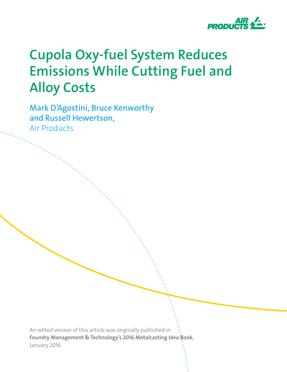

# **Cupola Oxy-fuel System Reduces Emissions While Cutting Fuel and Alloy Costs**

**Mark D'Agostini, Bruce Kenworthy and Russell Hewertson,** Air Products

An edited version of this article was originally published in Foundry Management & Technology's 2016 Metalcasting Idea Book, January 2016.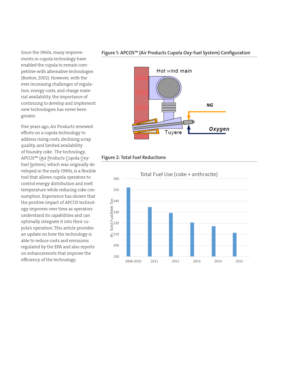Since the 1960s, many improvements in cupola technology have enabled the cupola to remain competitive with alternative technologies (Boehm, 2002). However, with the ever increasing challenges of regulation, energy costs, and charge material availability, the importance of continuing to develop and implement new technologies has never been greater.

Five years ago, Air Products renewed efforts on a cupola technology to address rising costs, declining scrap quality, and limited availability of foundry coke. The technology, APCOS™ (Air Products Cupola Oxyfuel System), which was originally developed in the early 1990s, is a flexible tool that allows cupola operators to control energy distribution and melt temperature while reducing coke consumption. Experience has shown that the positive impact of APCOS technology improves over time as operators understand its capabilities and can optimally integrate it into their cupola's operation. This article provides an update on how the technology is able to reduce costs and emissions regulated by the EPA and also reports on enhancements that improve the efficiency of the technology.

## **Figure 1: APCOS™ (Air Products Cupola Oxy-fuel System) Configuration**



## **Figure 2: Total Fuel Reductions**

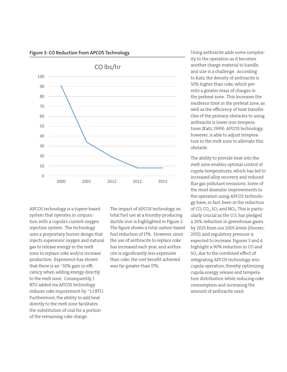

#### **Figure 3: CO Reduction from APCOS Technology**

APCOS technology is a tuyere-based system that operates in conjunction with a cupola's current oxygen injection system. The technology uses a proprietary burner design that injects supersonic oxygen and natural gas to release energy in the melt zone to replace coke and/or increase production. Experience has shown that there is an ~10% gain in efficiency when adding energy directly to the melt zone. Consequently, 1 BTU added via APCOS technology reduces coke requirement by ~1.1 BTU. Furthermore, the ability to add heat directly to the melt zone facilitates the substitution of coal for a portion of the remaining coke charge.

The impact of APCOS technology on total fuel use at a foundry producing ductile iron is highlighted in Figure 2. The figure shows a total carbon-based fuel reduction of 17%. However, since the use of anthracite to replace coke has increased each year, and anthracite is significantly less expensive than coke, the cost benefit achieved was far greater than 17%.

Using anthracite adds some complexity to the operation as it becomes another charge material to handle, and size is a challenge. According to Katz, the density of anthracite is 50% higher than coke, which permits a greater mass of charges in the preheat zone. This increases the residence time in the preheat zone, as well as the efficiency of heat transfer. One of the primary obstacles to using anthracite is lower iron temperatures (Katz, 1999). APCOS technology, however, is able to adjust temperature to the melt zone to alleviate this obstacle.

The ability to provide heat into the melt zone enables optimal control of cupola temperatures, which has led to increased alloy recovery and reduced flue gas pollutant emissions. Some of the most dramatic improvements to the operation using APCOS technology have, in fact, been in the reduction of CO, CO<sub>2</sub>, SO<sub>2</sub> and  $NO_x$ . This is particularly crucial as the U.S. has pledged a 26% reduction in greenhouse gases by 2025 from our 2005 levels (Hoover, 2015), and regulatory pressure is expected to increase. Figures 3 and 4 highlight a 90% reduction in CO and SO<sub>2</sub> due to the combined effect of integrating APCOS technology into cupola operation, thereby optimizing cupola energy release and temperature distribution while reducing coke consumption and increasing the amount of anthracite used.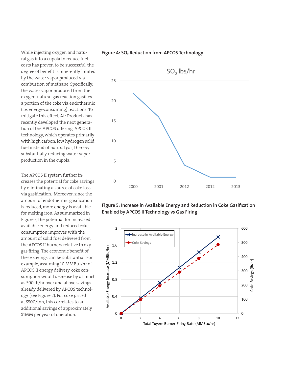While injecting oxygen and natural gas into a cupola to reduce fuel costs has proven to be successful, the degree of benefit is inherently limited by the water vapor produced via combustion of methane. Specifically, the water vapor produced from the oxygen-natural gas reaction gasifies a portion of the coke via endothermic (i.e. energy-consuming) reactions. To mitigate this effect, Air Products has recently developed the next generation of the APCOS offering, APCOS II technology, which operates primarily with high carbon, low hydrogen solid fuel instead of natural gas, thereby substantially reducing water vapor production in the cupola.

The APCOS II system further increases the potential for coke savings by eliminating a source of coke loss via gasification. Moreover, since the amount of endothermic gasification is reduced, more energy is available for melting iron. As summarized in Figure 5, the potential for increased available energy and reduced coke consumption improves with the amount of solid fuel delivered from the APCOS II burners relative to oxygas firing. The economic benefit of these savings can be substantial. For example, assuming 10 MMBtu/hr of APCOS II energy delivery, coke consumption would decrease by as much as 500 lb/hr over and above savings already delivered by APCOS technology (see Figure 2). For coke priced at \$500/ton, this correlates to an additional savings of approximately \$1MM per year of operation.



Figure 4: SO<sub>2</sub> Reduction from APCOS Technology

## **Figure 5: Increase in Available Energy and Reduction in Coke Gasification Enabled by APCOS II Technology vs Gas Firing**

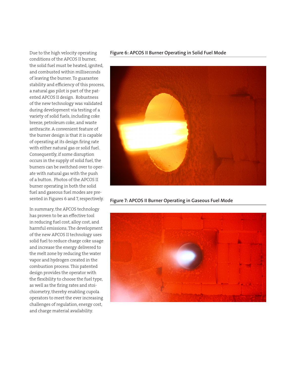Due to the high velocity operating conditions of the APCOS II burner, the solid fuel must be heated, ignited, and combusted within milliseconds of leaving the burner. To guarantee stability and efficiency of this process, a natural gas pilot is part of the patented APCOS II design. Robustness of the new technology was validated during development via testing of a variety of solid fuels, including coke breeze, petroleum coke, and waste anthracite. A convenient feature of the burner design is that it is capable of operating at its design firing rate with either natural gas or solid fuel. Consequently, if some disruption occurs in the supply of solid fuel, the burners can be switched over to operate with natural gas with the push of a button. Photos of the APCOS II burner operating in both the solid fuel and gaseous fuel modes are presented in Figures 6 and 7, respectively.

In summary, the APCOS technology has proven to be an effective tool in reducing fuel cost, alloy cost, and harmful emissions. The development of the new APCOS II technology uses solid fuel to reduce charge coke usage and increase the energy delivered to the melt zone by reducing the water vapor and hydrogen created in the combustion process. This patented design provides the operator with the flexibility to choose the fuel type, as well as the firing rates and stoichiometry, thereby enabling cupola operators to meet the ever increasing challenges of regulation, energy cost, and charge material availability.

#### **Figure 6: APCOS II Burner Operating in Solid Fuel Mode**



**Figure 7: APCOS II Burner Operating in Gaseous Fuel Mode**

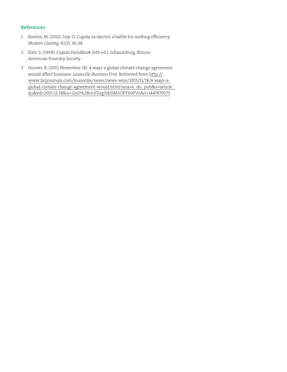## **References**

- 1. Boehm, M. (2002, July 2). Cupola vs electric a battle for melting efficiency. *Modern Casting*, 92(7), 36-38.
- 2. Katz, S. (1999). *Cupola Handbook* (6th ed.). Schaumburg, Illinois: American Foundry Society.
- 3. Hoover, K. (2015, November 18). 4 ways a global climate change agreement would affect business. *Louisville Business First*. Retrieved from http:// www.bizjournals.com/louisville/news/news-wire/2015/11/18/4-ways-aglobal-climate-change-agreement-would.html?ana=e\_du\_pub&s=article\_ du&ed=2015-11-18&u=l2eD%2BcnVJIzg7rkSlM3OPT69FVn&t=1447879573